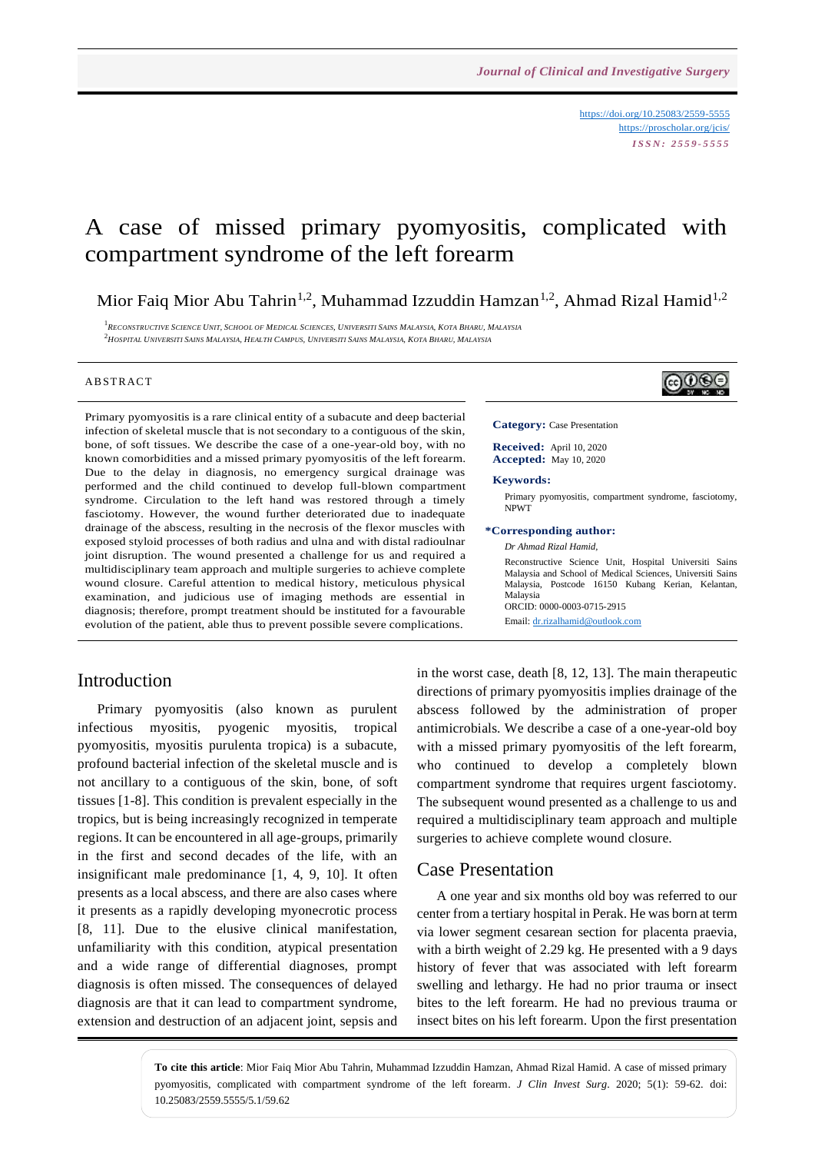<https://doi.org/10.25083/2559-5555> <https://proscholar.org/jcis/> *I S S N : 2 5 5 9 - 5 5 5 5*

෬⊕ൈ

# A case of missed primary pyomyositis, complicated with compartment syndrome of the left forearm

Mior Faiq Mior Abu Tahrin<sup>1,2</sup>, Muhammad Izzuddin Hamzan<sup>1,2</sup>, Ahmad Rizal Hamid<sup>1,2</sup>

<sup>1</sup> Reconstructive Science Unit, School of Medical Sciences, Universiti Sains Malaysia, Kota Bharu, Malaysia  $^2\!H\!os$ pital Universiti Sains Malaysia, Health Campus, Universiti Sains Malaysia, Kota Bharu, Malaysia

### **ABSTRACT**

Primary pyomyositis is a rare clinical entity of a subacute and deep bacterial infection of skeletal muscle that is not secondary to a contiguous of the skin, bone, of soft tissues. We describe the case of a one-year-old boy, with no known comorbidities and a missed primary pyomyositis of the left forearm. Due to the delay in diagnosis, no emergency surgical drainage was performed and the child continued to develop full-blown compartment syndrome. Circulation to the left hand was restored through a timely fasciotomy. However, the wound further deteriorated due to inadequate drainage of the abscess, resulting in the necrosis of the flexor muscles with exposed styloid processes of both radius and ulna and with distal radioulnar joint disruption. The wound presented a challenge for us and required a multidisciplinary team approach and multiple surgeries to achieve complete wound closure. Careful attention to medical history, meticulous physical examination, and judicious use of imaging methods are essential in diagnosis; therefore, prompt treatment should be instituted for a favourable evolution of the patient, able thus to prevent possible severe complications.

## Introduction

Primary pyomyositis (also known as purulent infectious myositis, pyogenic myositis, tropical pyomyositis, myositis purulenta tropica) is a subacute, profound bacterial infection of the skeletal muscle and is not ancillary to a contiguous of the skin, bone, of soft tissues [1-8]. This condition is prevalent especially in the tropics, but is being increasingly recognized in temperate regions. It can be encountered in all age-groups, primarily in the first and second decades of the life, with an insignificant male predominance [1, 4, 9, 10]. It often presents as a local abscess, and there are also cases where it presents as a rapidly developing myonecrotic process [8, 11]. Due to the elusive clinical manifestation, unfamiliarity with this condition, atypical presentation and a wide range of differential diagnoses, prompt diagnosis is often missed. The consequences of delayed diagnosis are that it can lead to compartment syndrome, extension and destruction of an adjacent joint, sepsis and **Category:** Case Presentation

**Received:** April 10, 2020 **Accepted:** May 10, 2020

#### **Keywords:**

Primary pyomyositis, compartment syndrome, fasciotomy, NPWT

#### **\*Corresponding author:**

*Dr Ahmad Rizal Hamid,*

Reconstructive Science Unit, Hospital Universiti Sains Malaysia and School of Medical Sciences, Universiti Sains Malaysia, Postcode 16150 Kubang Kerian, Kelantan, Malaysia ORCID: 0000-0003-0715-2915 Email[: dr.rizalhamid@outlook.com](mailto:dr.rizalhamid@outlook.com)

in the worst case, death [8, 12, 13]. The main therapeutic directions of primary pyomyositis implies drainage of the abscess followed by the administration of proper antimicrobials. We describe a case of a one-year-old boy with a missed primary pyomyositis of the left forearm, who continued to develop a completely blown compartment syndrome that requires urgent fasciotomy. The subsequent wound presented as a challenge to us and required a multidisciplinary team approach and multiple surgeries to achieve complete wound closure.

### Case Presentation

A one year and six months old boy was referred to our center from a tertiary hospital in Perak. He was born at term via lower segment cesarean section for placenta praevia, with a birth weight of 2.29 kg. He presented with a 9 days history of fever that was associated with left forearm swelling and lethargy. He had no prior trauma or insect bites to the left forearm. He had no previous trauma or insect bites on his left forearm. Upon the first presentation

**To cite this article**: Mior Faiq Mior Abu Tahrin, Muhammad Izzuddin Hamzan, Ahmad Rizal Hamid. A case of missed primary pyomyositis, complicated with compartment syndrome of the left forearm. *J Clin Invest Surg*. 2020; 5(1): 59-62. doi: 10.25083/2559.5555/5.1/59.62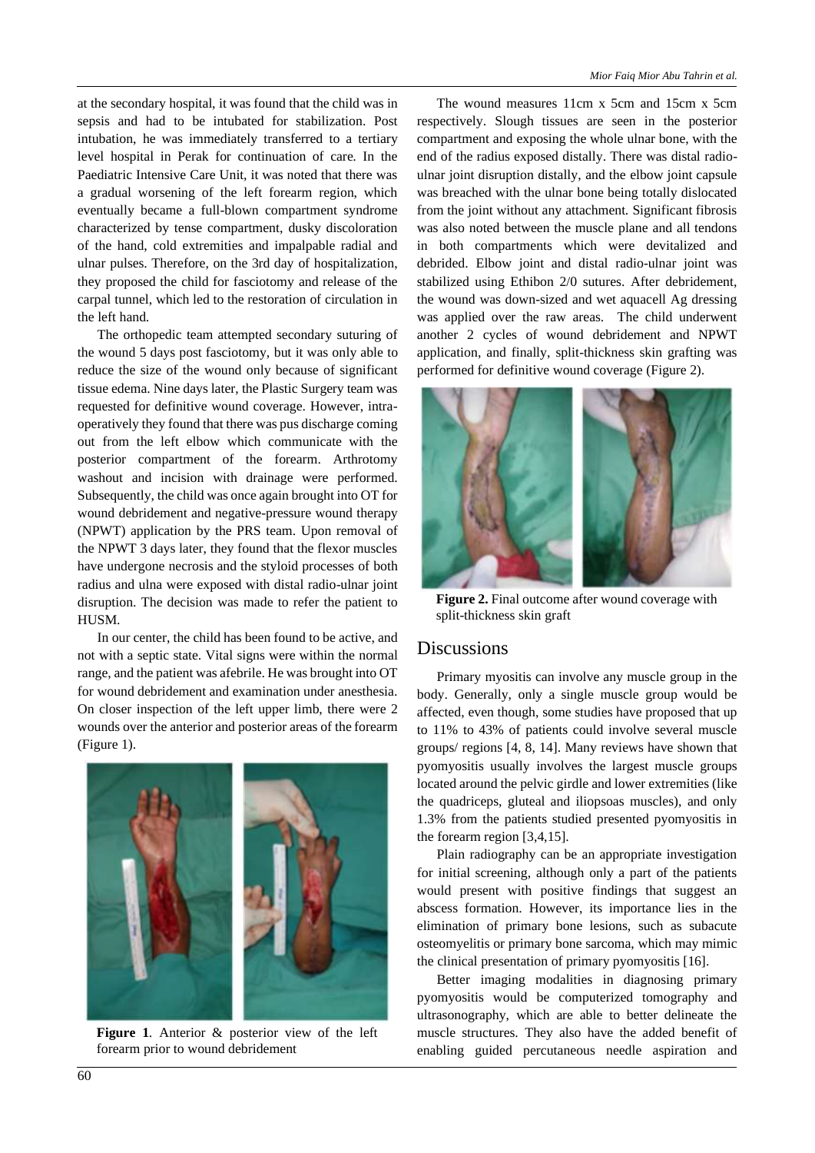at the secondary hospital, it was found that the child was in sepsis and had to be intubated for stabilization. Post intubation, he was immediately transferred to a tertiary level hospital in Perak for continuation of care. In the Paediatric Intensive Care Unit, it was noted that there was a gradual worsening of the left forearm region, which eventually became a full-blown compartment syndrome characterized by tense compartment, dusky discoloration of the hand, cold extremities and impalpable radial and ulnar pulses. Therefore, on the 3rd day of hospitalization, they proposed the child for fasciotomy and release of the carpal tunnel, which led to the restoration of circulation in the left hand.

The orthopedic team attempted secondary suturing of the wound 5 days post fasciotomy, but it was only able to reduce the size of the wound only because of significant tissue edema. Nine days later, the Plastic Surgery team was requested for definitive wound coverage. However, intraoperatively they found that there was pus discharge coming out from the left elbow which communicate with the posterior compartment of the forearm. Arthrotomy washout and incision with drainage were performed. Subsequently, the child was once again brought into OT for wound debridement and negative-pressure wound therapy (NPWT) application by the PRS team. Upon removal of the NPWT 3 days later, they found that the flexor muscles have undergone necrosis and the styloid processes of both radius and ulna were exposed with distal radio-ulnar joint disruption. The decision was made to refer the patient to HUSM.

In our center, the child has been found to be active, and not with a septic state. Vital signs were within the normal range, and the patient was afebrile. He was brought into OT for wound debridement and examination under anesthesia. On closer inspection of the left upper limb, there were 2 wounds over the anterior and posterior areas of the forearm (Figure 1).



**Figure 1**. Anterior & posterior view of the left forearm prior to wound debridement

The wound measures 11cm x 5cm and 15cm x 5cm respectively. Slough tissues are seen in the posterior compartment and exposing the whole ulnar bone, with the end of the radius exposed distally. There was distal radioulnar joint disruption distally, and the elbow joint capsule was breached with the ulnar bone being totally dislocated from the joint without any attachment. Significant fibrosis was also noted between the muscle plane and all tendons in both compartments which were devitalized and debrided. Elbow joint and distal radio-ulnar joint was stabilized using Ethibon 2/0 sutures. After debridement, the wound was down-sized and wet aquacell Ag dressing was applied over the raw areas. The child underwent another 2 cycles of wound debridement and NPWT application, and finally, split-thickness skin grafting was performed for definitive wound coverage (Figure 2).



**Figure 2.** Final outcome after wound coverage with split-thickness skin graft

## Discussions

Primary myositis can involve any muscle group in the body. Generally, only a single muscle group would be affected, even though, some studies have proposed that up to 11% to 43% of patients could involve several muscle groups/ regions [4, 8, 14]. Many reviews have shown that pyomyositis usually involves the largest muscle groups located around the pelvic girdle and lower extremities (like the quadriceps, gluteal and iliopsoas muscles), and only 1.3% from the patients studied presented pyomyositis in the forearm region [3,4,15].

Plain radiography can be an appropriate investigation for initial screening, although only a part of the patients would present with positive findings that suggest an abscess formation. However, its importance lies in the elimination of primary bone lesions, such as subacute osteomyelitis or primary bone sarcoma, which may mimic the clinical presentation of primary pyomyositis [16].

Better imaging modalities in diagnosing primary pyomyositis would be computerized tomography and ultrasonography, which are able to better delineate the muscle structures. They also have the added benefit of enabling guided percutaneous needle aspiration and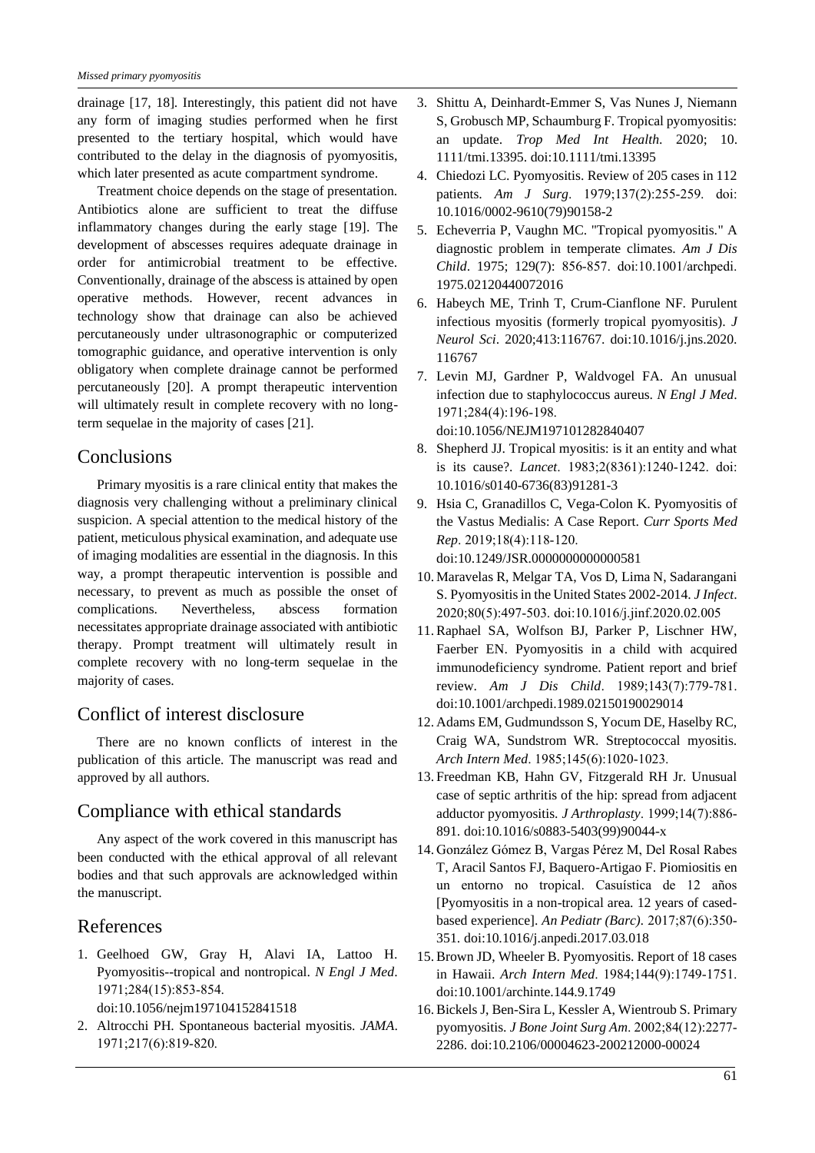drainage [17, 18]. Interestingly, this patient did not have any form of imaging studies performed when he first presented to the tertiary hospital, which would have contributed to the delay in the diagnosis of pyomyositis, which later presented as acute compartment syndrome.

Treatment choice depends on the stage of presentation. Antibiotics alone are sufficient to treat the diffuse inflammatory changes during the early stage [19]. The development of abscesses requires adequate drainage in order for antimicrobial treatment to be effective. Conventionally, drainage of the abscess is attained by open operative methods. However, recent advances in technology show that drainage can also be achieved percutaneously under ultrasonographic or computerized tomographic guidance, and operative intervention is only obligatory when complete drainage cannot be performed percutaneously [20]. A prompt therapeutic intervention will ultimately result in complete recovery with no longterm sequelae in the majority of cases [21].

## **Conclusions**

Primary myositis is a rare clinical entity that makes the diagnosis very challenging without a preliminary clinical suspicion. A special attention to the medical history of the patient, meticulous physical examination, and adequate use of imaging modalities are essential in the diagnosis. In this way, a prompt therapeutic intervention is possible and necessary, to prevent as much as possible the onset of complications. Nevertheless, abscess formation necessitates appropriate drainage associated with antibiotic therapy. Prompt treatment will ultimately result in complete recovery with no long-term sequelae in the majority of cases.

## Conflict of interest disclosure

There are no known conflicts of interest in the publication of this article. The manuscript was read and approved by all authors.

## Compliance with ethical standards

Any aspect of the work covered in this manuscript has been conducted with the ethical approval of all relevant bodies and that such approvals are acknowledged within the manuscript.

## References

- 1. Geelhoed GW, Gray H, Alavi IA, Lattoo H. Pyomyositis--tropical and nontropical. *N Engl J Med*. 1971;284(15):853‐854. doi:10.1056/nejm197104152841518
- 2. Altrocchi PH. Spontaneous bacterial myositis. *JAMA*. 1971;217(6):819‐820.
- 3. Shittu A, Deinhardt-Emmer S, Vas Nunes J, Niemann S, Grobusch MP, Schaumburg F. Tropical pyomyositis: an update. *Trop Med Int Health*. 2020; 10. 1111/tmi.13395. doi:10.1111/tmi.13395
- 4. Chiedozi LC. Pyomyositis. Review of 205 cases in 112 patients. *Am J Surg*. 1979;137(2):255‐259. doi: 10.1016/0002-9610(79)90158-2
- 5. Echeverria P, Vaughn MC. "Tropical pyomyositis." A diagnostic problem in temperate climates. *Am J Dis Child*. 1975; 129(7): 856‐857. doi:10.1001/archpedi. 1975.02120440072016
- 6. Habeych ME, Trinh T, Crum-Cianflone NF. Purulent infectious myositis (formerly tropical pyomyositis). *J Neurol Sci*. 2020;413:116767. doi:10.1016/j.jns.2020. 116767
- 7. Levin MJ, Gardner P, Waldvogel FA. An unusual infection due to staphylococcus aureus. *N Engl J Med*. 1971;284(4):196‐198. doi:10.1056/NEJM197101282840407
- 8. Shepherd JJ. Tropical myositis: is it an entity and what is its cause?. *Lancet*. 1983;2(8361):1240‐1242. doi: 10.1016/s0140-6736(83)91281-3
- 9. Hsia C, Granadillos C, Vega-Colon K. Pyomyositis of the Vastus Medialis: A Case Report. *Curr Sports Med Rep*. 2019;18(4):118‐120. doi:10.1249/JSR.0000000000000581
- 10. Maravelas R, Melgar TA, Vos D, Lima N, Sadarangani S. Pyomyositis in the United States 2002-2014. *J Infect*. 2020;80(5):497‐503. doi:10.1016/j.jinf.2020.02.005
- 11. Raphael SA, Wolfson BJ, Parker P, Lischner HW, Faerber EN. Pyomyositis in a child with acquired immunodeficiency syndrome. Patient report and brief review. *Am J Dis Child*. 1989;143(7):779‐781. doi:10.1001/archpedi.1989.02150190029014
- 12. Adams EM, Gudmundsson S, Yocum DE, Haselby RC, Craig WA, Sundstrom WR. Streptococcal myositis. *Arch Intern Med*. 1985;145(6):1020‐1023.
- 13.Freedman KB, Hahn GV, Fitzgerald RH Jr. Unusual case of septic arthritis of the hip: spread from adjacent adductor pyomyositis. *J Arthroplasty*. 1999;14(7):886‐ 891. doi:10.1016/s0883-5403(99)90044-x
- 14. González Gómez B, Vargas Pérez M, Del Rosal Rabes T, Aracil Santos FJ, Baquero-Artigao F. Piomiositis en un entorno no tropical. Casuística de 12 años [Pyomyositis in a non-tropical area. 12 years of casedbased experience]. *An Pediatr (Barc).* 2017;87(6):350‐ 351. doi:10.1016/j.anpedi.2017.03.018
- 15. Brown JD, Wheeler B. Pyomyositis. Report of 18 cases in Hawaii. *Arch Intern Med*. 1984;144(9):1749‐1751. doi:10.1001/archinte.144.9.1749
- 16. Bickels J, Ben-Sira L, Kessler A, Wientroub S. Primary pyomyositis. *J Bone Joint Surg Am*. 2002;84(12):2277‐ 2286. doi:10.2106/00004623-200212000-00024